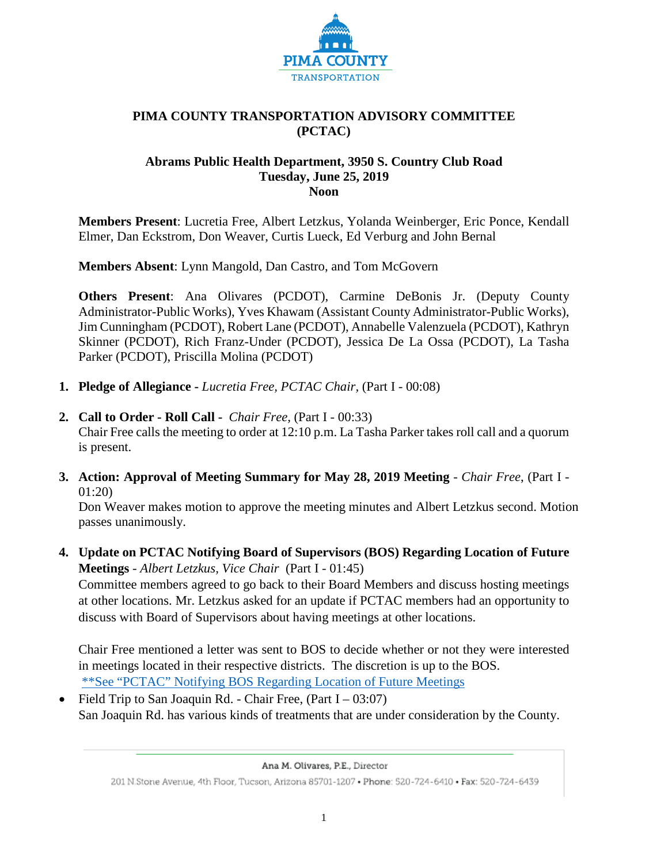

# **PIMA COUNTY TRANSPORTATION ADVISORY COMMITTEE (PCTAC)**

#### **Abrams Public Health Department, 3950 S. Country Club Road Tuesday, June 25, 2019 Noon**

**Members Present**: Lucretia Free, Albert Letzkus, Yolanda Weinberger, Eric Ponce, Kendall Elmer, Dan Eckstrom, Don Weaver, Curtis Lueck, Ed Verburg and John Bernal

**Members Absent**: Lynn Mangold, Dan Castro, and Tom McGovern

**Others Present**: Ana Olivares (PCDOT), Carmine DeBonis Jr. (Deputy County Administrator-Public Works), Yves Khawam (Assistant County Administrator-Public Works), Jim Cunningham (PCDOT), Robert Lane (PCDOT), Annabelle Valenzuela (PCDOT), Kathryn Skinner (PCDOT), Rich Franz-Under (PCDOT), Jessica De La Ossa (PCDOT), La Tasha Parker (PCDOT), Priscilla Molina (PCDOT)

- **1. Pledge of Allegiance -** *Lucretia Free, PCTAC Chair,* (Part I 00:08)
- **2. Call to Order - Roll Call** *Chair Free,* (Part I 00:33)

Chair Free calls the meeting to order at 12:10 p.m. La Tasha Parker takes roll call and a quorum is present.

**3. Action: Approval of Meeting Summary for May 28, 2019 Meeting** - *Chair Free*, (Part I - 01:20)

 Don Weaver makes motion to approve the meeting minutes and Albert Letzkus second. Motion passes unanimously.

**4. Update on PCTAC Notifying Board of Supervisors (BOS) Regarding Location of Future Meetings** - *Albert Letzkus, Vice Chair* (Part I - 01:45)

Committee members agreed to go back to their Board Members and discuss hosting meetings at other locations. Mr. Letzkus asked for an update if PCTAC members had an opportunity to discuss with Board of Supervisors about having meetings at other locations.

Chair Free mentioned a letter was sent to BOS to decide whether or not they were interested in meetings located in their respective districts. The discretion is up to the BOS. \*\*See ["PCTAC" Notifying BOS Regarding](http://webcms.pima.gov/UserFiles/Servers/Server_6/File/Government/Transportation/TransportationAdvisoryCommittee/DocumentsTab/June%2025,%202019/PCTAC_Notifying-BOS-regarding-Location_of_FutureMeetings.pdf) Location of Future Meetings

• Field Trip to San Joaquin Rd. - Chair Free,  $(Part I - 03:07)$ San Joaquin Rd. has various kinds of treatments that are under consideration by the County.

Ana M. Olivares, P.E., Director

<sup>201</sup> N.Stone Avenue, 4th Floor, Tucson, Arizona 85701-1207 . Phone: 520-724-6410 . Fax: 520-724-6439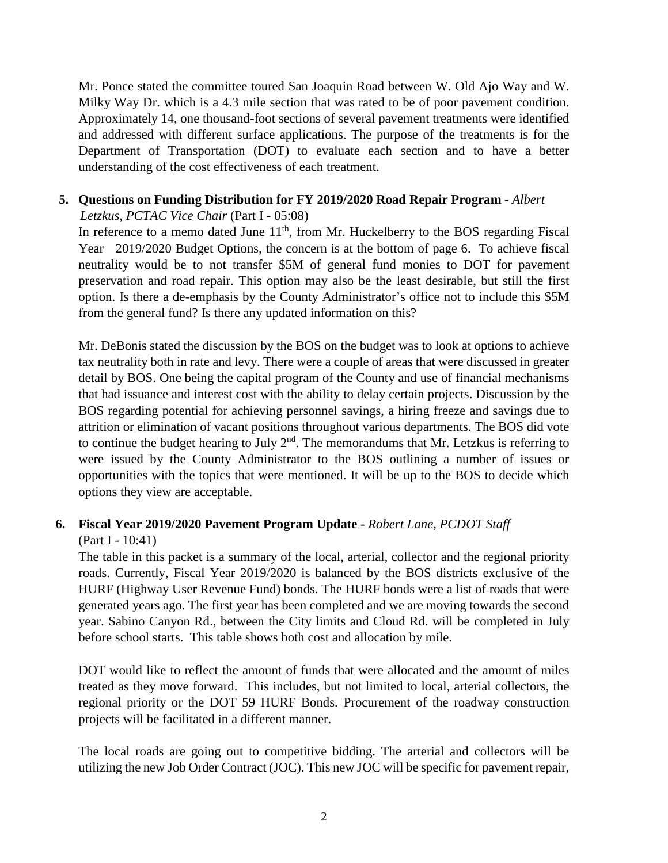Mr. Ponce stated the committee toured San Joaquin Road between W. Old Ajo Way and W. Milky Way Dr. which is a 4.3 mile section that was rated to be of poor pavement condition. Approximately 14, one thousand-foot sections of several pavement treatments were identified and addressed with different surface applications. The purpose of the treatments is for the Department of Transportation (DOT) to evaluate each section and to have a better understanding of the cost effectiveness of each treatment.

# **5. Questions on Funding Distribution for FY 2019/2020 Road Repair Program** - *Albert*

*Letzkus, PCTAC Vice Chair* (Part I - 05:08)

In reference to a memo dated June  $11<sup>th</sup>$ , from Mr. Huckelberry to the BOS regarding Fiscal Year 2019/2020 Budget Options, the concern is at the bottom of page 6. To achieve fiscal neutrality would be to not transfer \$5M of general fund monies to DOT for pavement preservation and road repair. This option may also be the least desirable, but still the first option. Is there a de-emphasis by the County Administrator's office not to include this \$5M from the general fund? Is there any updated information on this?

Mr. DeBonis stated the discussion by the BOS on the budget was to look at options to achieve tax neutrality both in rate and levy. There were a couple of areas that were discussed in greater detail by BOS. One being the capital program of the County and use of financial mechanisms that had issuance and interest cost with the ability to delay certain projects. Discussion by the BOS regarding potential for achieving personnel savings, a hiring freeze and savings due to attrition or elimination of vacant positions throughout various departments. The BOS did vote to continue the budget hearing to July  $2<sup>nd</sup>$ . The memorandums that Mr. Letzkus is referring to were issued by the County Administrator to the BOS outlining a number of issues or opportunities with the topics that were mentioned. It will be up to the BOS to decide which options they view are acceptable.

### **6. Fiscal Year 2019/2020 Pavement Program Update -** *Robert Lane, PCDOT Staff* (Part I - 10:41)

The table in this packet is a summary of the local, arterial, collector and the regional priority roads. Currently, Fiscal Year 2019/2020 is balanced by the BOS districts exclusive of the HURF (Highway User Revenue Fund) bonds. The HURF bonds were a list of roads that were generated years ago. The first year has been completed and we are moving towards the second year. Sabino Canyon Rd., between the City limits and Cloud Rd. will be completed in July before school starts. This table shows both cost and allocation by mile.

DOT would like to reflect the amount of funds that were allocated and the amount of miles treated as they move forward. This includes, but not limited to local, arterial collectors, the regional priority or the DOT 59 HURF Bonds. Procurement of the roadway construction projects will be facilitated in a different manner.

The local roads are going out to competitive bidding. The arterial and collectors will be utilizing the new Job Order Contract (JOC). This new JOC will be specific for pavement repair,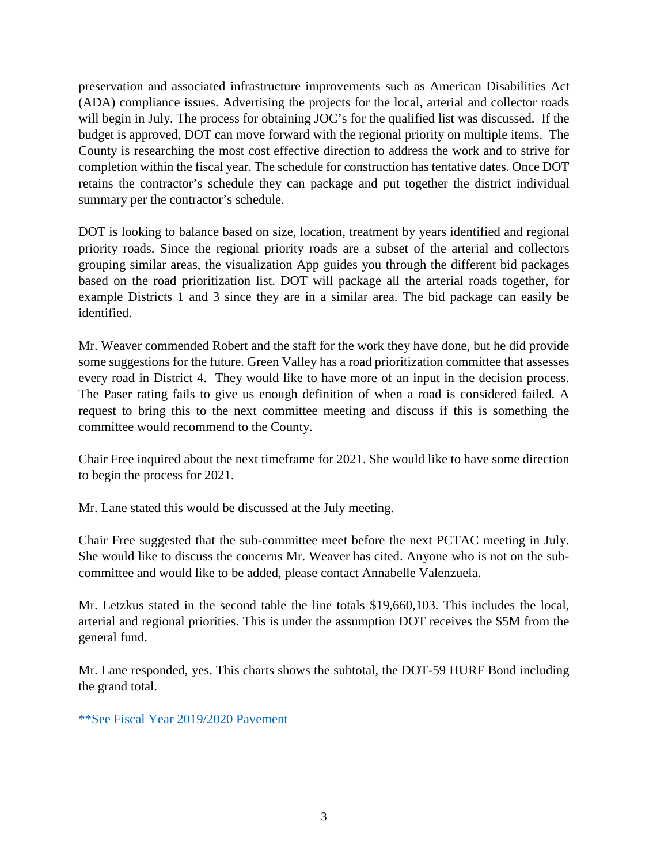preservation and associated infrastructure improvements such as American Disabilities Act (ADA) compliance issues. Advertising the projects for the local, arterial and collector roads will begin in July. The process for obtaining JOC's for the qualified list was discussed. If the budget is approved, DOT can move forward with the regional priority on multiple items. The County is researching the most cost effective direction to address the work and to strive for completion within the fiscal year. The schedule for construction has tentative dates. Once DOT retains the contractor's schedule they can package and put together the district individual summary per the contractor's schedule.

DOT is looking to balance based on size, location, treatment by years identified and regional priority roads. Since the regional priority roads are a subset of the arterial and collectors grouping similar areas, the visualization App guides you through the different bid packages based on the road prioritization list. DOT will package all the arterial roads together, for example Districts 1 and 3 since they are in a similar area. The bid package can easily be identified.

Mr. Weaver commended Robert and the staff for the work they have done, but he did provide some suggestions for the future. Green Valley has a road prioritization committee that assesses every road in District 4. They would like to have more of an input in the decision process. The Paser rating fails to give us enough definition of when a road is considered failed. A request to bring this to the next committee meeting and discuss if this is something the committee would recommend to the County.

Chair Free inquired about the next timeframe for 2021. She would like to have some direction to begin the process for 2021.

Mr. Lane stated this would be discussed at the July meeting.

Chair Free suggested that the sub-committee meet before the next PCTAC meeting in July. She would like to discuss the concerns Mr. Weaver has cited. Anyone who is not on the subcommittee and would like to be added, please contact Annabelle Valenzuela.

Mr. Letzkus stated in the second table the line totals \$19,660,103. This includes the local, arterial and regional priorities. This is under the assumption DOT receives the \$5M from the general fund.

Mr. Lane responded, yes. This charts shows the subtotal, the DOT-59 HURF Bond including the grand total.

\*\*See [Fiscal Year 2019/2020 Pavement](http://webcms.pima.gov/UserFiles/Servers/Server_6/File/Government/Transportation/TransportationAdvisoryCommittee/DocumentsTab/June%2025,%202019/PTAC-20190625_RoadwayPrioritizationPresentation.pdf)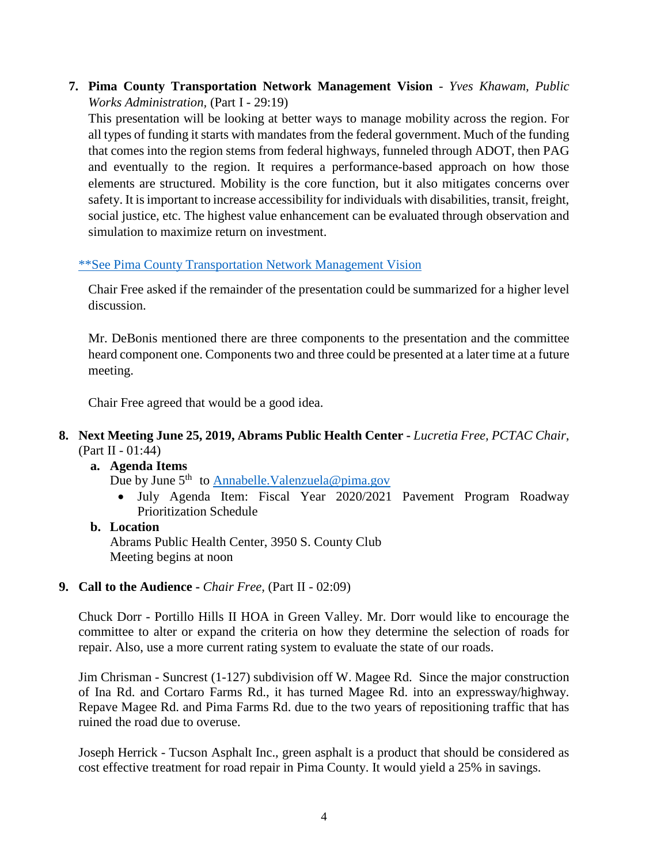**7. Pima County Transportation Network Management Vision** - *Yves Khawam, Public Works Administration,* (Part I - 29:19)

This presentation will be looking at better ways to manage mobility across the region. For all types of funding it starts with mandates from the federal government. Much of the funding that comes into the region stems from federal highways, funneled through ADOT, then PAG and eventually to the region. It requires a performance-based approach on how those elements are structured. Mobility is the core function, but it also mitigates concerns over safety. It is important to increase accessibility for individuals with disabilities, transit, freight, social justice, etc. The highest value enhancement can be evaluated through observation and simulation to maximize return on investment.

# [\\*\\*See Pima County Transportation Network Management Vision](http://webcms.pima.gov/UserFiles/Servers/Server_6/File/Government/Transportation/TransportationAdvisoryCommittee/DocumentsTab/June%2025,%202019/PCTAC%20PowerPoint%20190625.pdf)

Chair Free asked if the remainder of the presentation could be summarized for a higher level discussion.

Mr. DeBonis mentioned there are three components to the presentation and the committee heard component one. Components two and three could be presented at a later time at a future meeting.

Chair Free agreed that would be a good idea.

# **8. Next Meeting June 25, 2019, Abrams Public Health Center -** *Lucretia Free, PCTAC Chair,*  (Part II - 01:44)

### **a. Agenda Items**

Due by June  $5<sup>th</sup>$  to Annabelle. Valenzuela@pima.gov

• July Agenda Item: Fiscal Year 2020/2021 Pavement Program Roadway Prioritization Schedule

# **b. Location** Abrams Public Health Center, 3950 S. County Club Meeting begins at noon

### **9. Call to the Audience -** *Chair Free,* (Part II - 02:09)

Chuck Dorr - Portillo Hills II HOA in Green Valley. Mr. Dorr would like to encourage the committee to alter or expand the criteria on how they determine the selection of roads for repair. Also, use a more current rating system to evaluate the state of our roads.

Jim Chrisman - Suncrest (1-127) subdivision off W. Magee Rd. Since the major construction of Ina Rd. and Cortaro Farms Rd., it has turned Magee Rd. into an expressway/highway. Repave Magee Rd. and Pima Farms Rd. due to the two years of repositioning traffic that has ruined the road due to overuse.

Joseph Herrick - Tucson Asphalt Inc., green asphalt is a product that should be considered as cost effective treatment for road repair in Pima County. It would yield a 25% in savings.